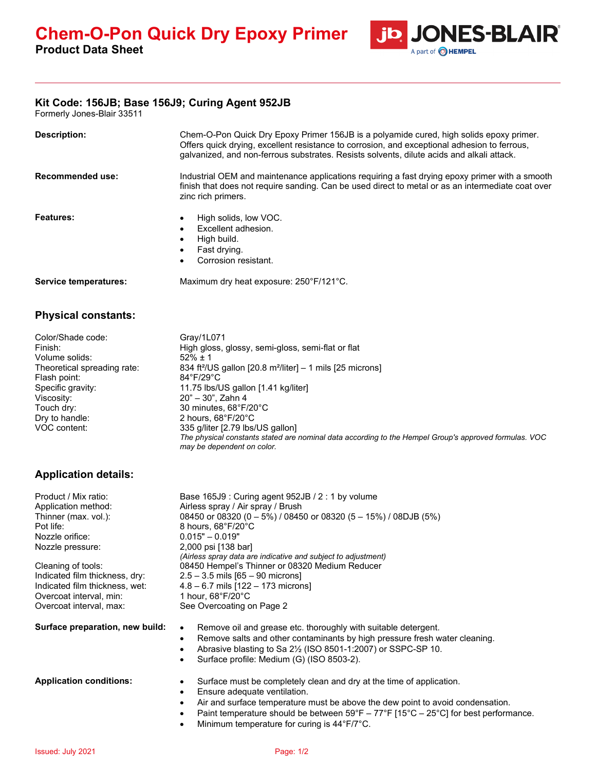

## **Kit Code: 156JB; Base 156J9; Curing Agent 952JB**

Formerly Jones-Blair 33511

| <b>Description:</b>                                                                                                                                                              | Chem-O-Pon Quick Dry Epoxy Primer 156JB is a polyamide cured, high solids epoxy primer.<br>Offers quick drying, excellent resistance to corrosion, and exceptional adhesion to ferrous,<br>galvanized, and non-ferrous substrates. Resists solvents, dilute acids and alkali attack.                                                                                                                                                                                    |  |
|----------------------------------------------------------------------------------------------------------------------------------------------------------------------------------|-------------------------------------------------------------------------------------------------------------------------------------------------------------------------------------------------------------------------------------------------------------------------------------------------------------------------------------------------------------------------------------------------------------------------------------------------------------------------|--|
| Recommended use:                                                                                                                                                                 | Industrial OEM and maintenance applications requiring a fast drying epoxy primer with a smooth<br>finish that does not require sanding. Can be used direct to metal or as an intermediate coat over<br>zinc rich primers.                                                                                                                                                                                                                                               |  |
| Features:                                                                                                                                                                        | High solids, low VOC.<br>$\bullet$<br>Excellent adhesion.<br>$\bullet$<br>High build.<br>$\bullet$<br>Fast drying.<br>$\bullet$<br>Corrosion resistant.                                                                                                                                                                                                                                                                                                                 |  |
| <b>Service temperatures:</b>                                                                                                                                                     | Maximum dry heat exposure: 250°F/121°C.                                                                                                                                                                                                                                                                                                                                                                                                                                 |  |
| <b>Physical constants:</b>                                                                                                                                                       |                                                                                                                                                                                                                                                                                                                                                                                                                                                                         |  |
| Color/Shade code:<br>Finish:<br>Volume solids:<br>Theoretical spreading rate:<br>Flash point:<br>Specific gravity:<br>Viscosity:<br>Touch dry:<br>Dry to handle:<br>VOC content: | Gray/1L071<br>High gloss, glossy, semi-gloss, semi-flat or flat<br>$52\% \pm 1$<br>834 ft <sup>2</sup> /US gallon [20.8 m <sup>2</sup> /liter] - 1 mils [25 microns]<br>84°F/29°C<br>11.75 lbs/US gallon [1.41 kg/liter]<br>20" - 30", Zahn 4<br>30 minutes, 68°F/20°C<br>2 hours, 68°F/20°C<br>335 g/liter [2.79 lbs/US gallon]<br>The physical constants stated are nominal data according to the Hempel Group's approved formulas. VOC<br>may be dependent on color. |  |

## **Application details:**

| Product / Mix ratio:<br>Application method:<br>Thinner (max. vol.):<br>Pot life:<br>Nozzle orifice:<br>Nozzle pressure:<br>Cleaning of tools:<br>Indicated film thickness, dry:<br>Indicated film thickness, wet:<br>Overcoat interval, min:<br>Overcoat interval, max: | Base $165J9$ : Curing agent $952JB / 2$ : 1 by volume<br>Airless spray / Air spray / Brush<br>08450 or 08320 (0 - 5%) / 08450 or 08320 (5 - 15%) / 08DJB (5%)<br>8 hours, 68°F/20°C<br>$0.015" - 0.019"$<br>2,000 psi [138 bar]<br>(Airless spray data are indicative and subject to adjustment)<br>08450 Hempel's Thinner or 08320 Medium Reducer<br>$2.5 - 3.5$ mils $[65 - 90$ microns<br>$4.8 - 6.7$ mils $[122 - 173$ microns<br>1 hour, $68^{\circ}F/20^{\circ}C$<br>See Overcoating on Page 2 |
|-------------------------------------------------------------------------------------------------------------------------------------------------------------------------------------------------------------------------------------------------------------------------|------------------------------------------------------------------------------------------------------------------------------------------------------------------------------------------------------------------------------------------------------------------------------------------------------------------------------------------------------------------------------------------------------------------------------------------------------------------------------------------------------|
| Surface preparation, new build:                                                                                                                                                                                                                                         | Remove oil and grease etc. thoroughly with suitable detergent.<br>$\bullet$<br>Remove salts and other contaminants by high pressure fresh water cleaning.<br>$\bullet$<br>Abrasive blasting to Sa 21/2 (ISO 8501-1:2007) or SSPC-SP 10.<br>Surface profile: Medium (G) (ISO 8503-2).<br>٠                                                                                                                                                                                                            |
| <b>Application conditions:</b>                                                                                                                                                                                                                                          | Surface must be completely clean and dry at the time of application.<br>Ensure adequate ventilation.<br>$\bullet$<br>Air and surface temperature must be above the dew point to avoid condensation.<br>$\bullet$<br>Paint temperature should be between $59^{\circ}F - 77^{\circ}F$ [15°C – 25°C] for best performance.<br>Minimum temperature for curing is 44°F/7°C.<br>$\bullet$                                                                                                                  |